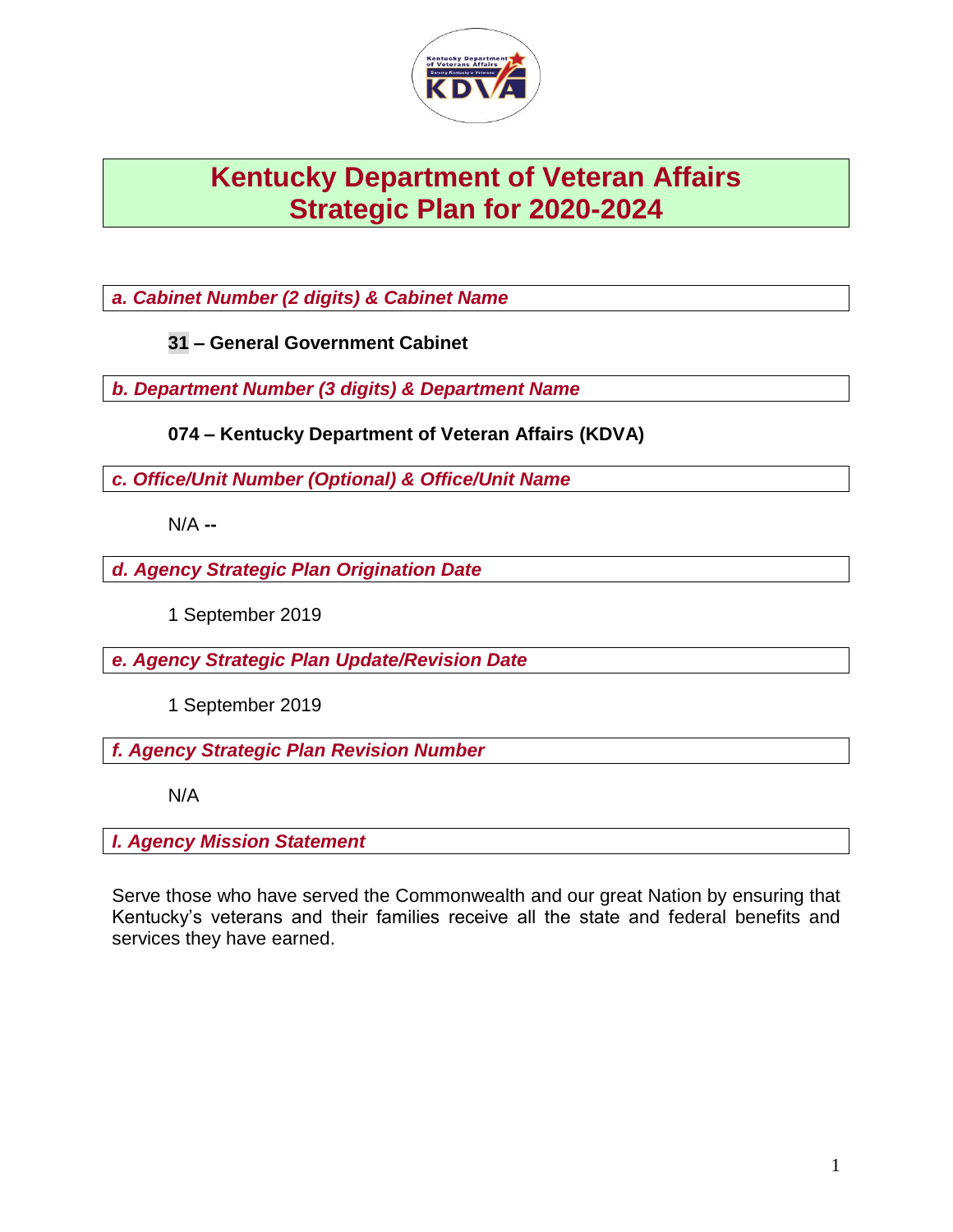

# **Kentucky Department of Veteran Affairs Strategic Plan for 2020-2024**

*a. Cabinet Number (2 digits) & Cabinet Name*

**31 – General Government Cabinet**

*b. Department Number (3 digits) & Department Name* 

**074 – Kentucky Department of Veteran Affairs (KDVA)**

*c. Office/Unit Number (Optional) & Office/Unit Name*

N/A **--**

*d. Agency Strategic Plan Origination Date*

1 September 2019

*e. Agency Strategic Plan Update/Revision Date*

1 September 2019

*f. Agency Strategic Plan Revision Number*

N/A

*I. Agency Mission Statement*

Serve those who have served the Commonwealth and our great Nation by ensuring that Kentucky's veterans and their families receive all the state and federal benefits and services they have earned.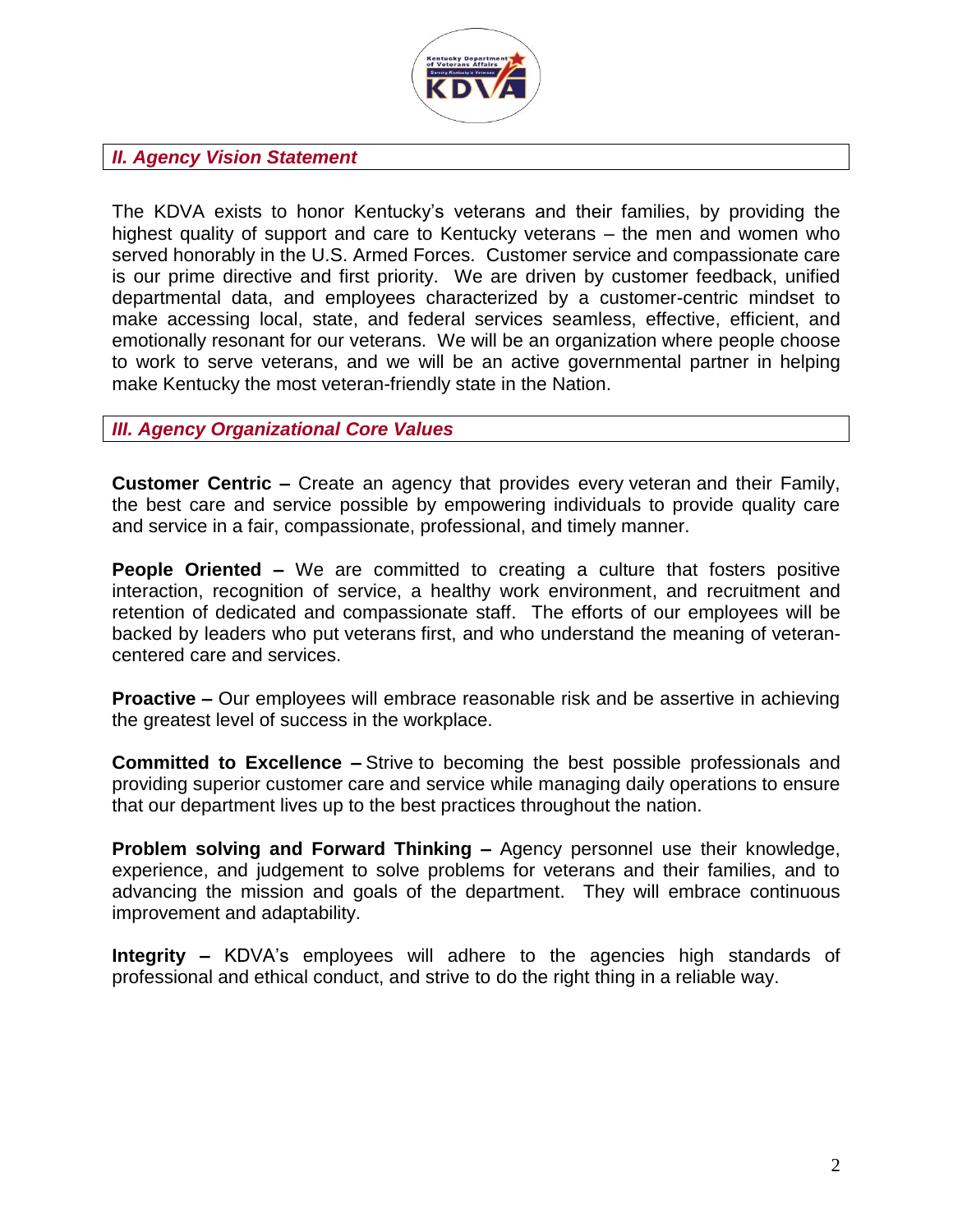

# *II. Agency Vision Statement*

The KDVA exists to honor Kentucky's veterans and their families, by providing the highest quality of support and care to Kentucky veterans – the men and women who served honorably in the U.S. Armed Forces. Customer service and compassionate care is our prime directive and first priority. We are driven by customer feedback, unified departmental data, and employees characterized by a customer-centric mindset to make accessing local, state, and federal services seamless, effective, efficient, and emotionally resonant for our veterans. We will be an organization where people choose to work to serve veterans, and we will be an active governmental partner in helping make Kentucky the most veteran-friendly state in the Nation.

#### *III. Agency Organizational Core Values*

**Customer Centric –** Create an agency that provides every veteran and their Family, the best care and service possible by empowering individuals to provide quality care and service in a fair, compassionate, professional, and timely manner.

**People Oriented –** We are committed to creating a culture that fosters positive interaction, recognition of service, a healthy work environment, and recruitment and retention of dedicated and compassionate staff. The efforts of our employees will be backed by leaders who put veterans first, and who understand the meaning of veterancentered care and services.

**Proactive –** Our employees will embrace reasonable risk and be assertive in achieving the greatest level of success in the workplace.

**Committed to Excellence –** Strive to becoming the best possible professionals and providing superior customer care and service while managing daily operations to ensure that our department lives up to the best practices throughout the nation.

**Problem solving and Forward Thinking –** Agency personnel use their knowledge, experience, and judgement to solve problems for veterans and their families, and to advancing the mission and goals of the department. They will embrace continuous improvement and adaptability.

**Integrity –** KDVA's employees will adhere to the agencies high standards of professional and ethical conduct, and strive to do the right thing in a reliable way.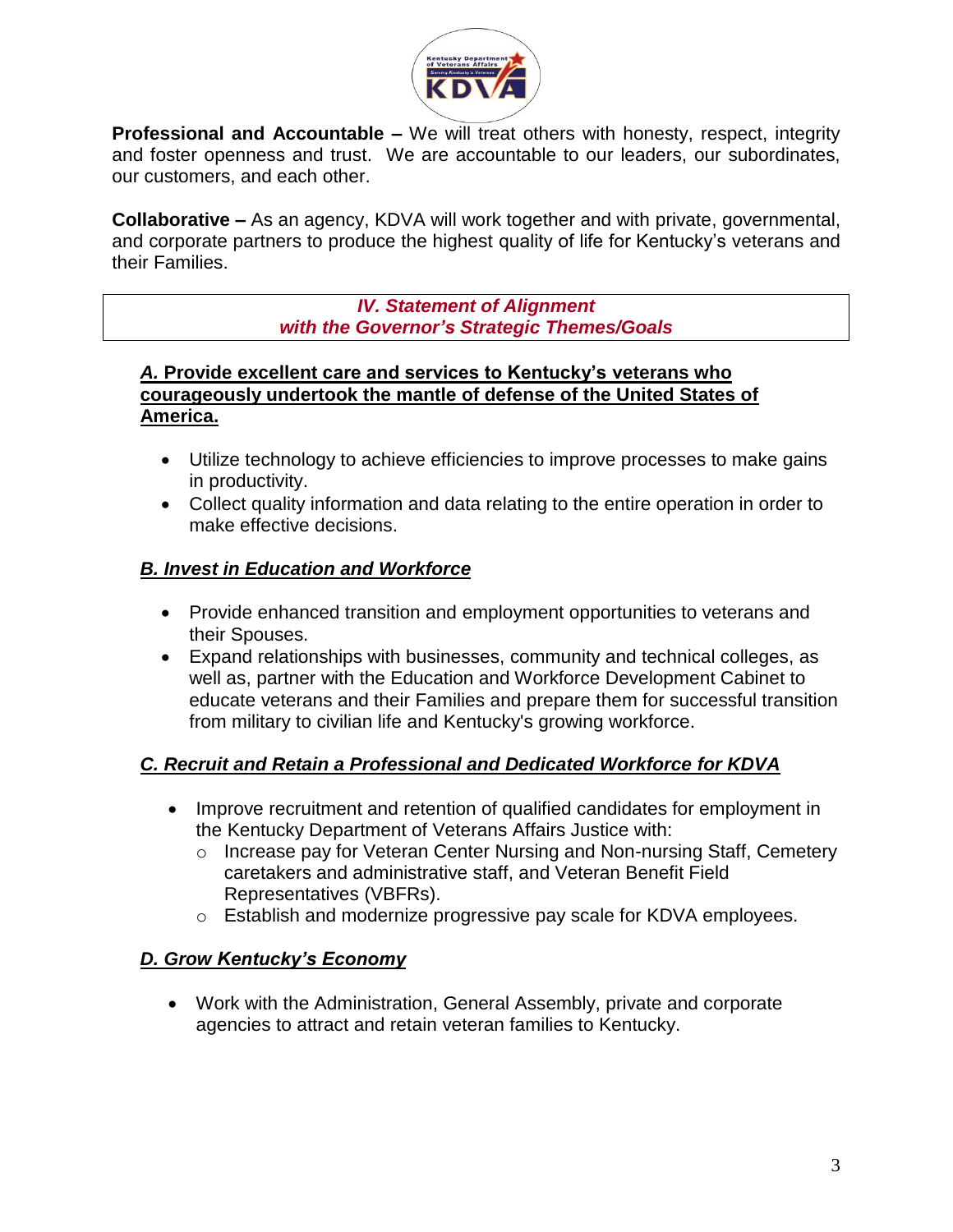

**Professional and Accountable** – We will treat others with honesty, respect, integrity and foster openness and trust. We are accountable to our leaders, our subordinates, our customers, and each other.

**Collaborative –** As an agency, KDVA will work together and with private, governmental, and corporate partners to produce the highest quality of life for Kentucky's veterans and their Families.

> *IV. Statement of Alignment with the Governor's Strategic Themes/Goals*

#### *A.* **Provide excellent care and services to Kentucky's veterans who courageously undertook the mantle of defense of the United States of America.**

- Utilize technology to achieve efficiencies to improve processes to make gains in productivity.
- Collect quality information and data relating to the entire operation in order to make effective decisions.

# *B. Invest in Education and Workforce*

- Provide enhanced transition and employment opportunities to veterans and their Spouses.
- Expand relationships with businesses, community and technical colleges, as well as, partner with the Education and Workforce Development Cabinet to educate veterans and their Families and prepare them for successful transition from military to civilian life and Kentucky's growing workforce.

# *C. Recruit and Retain a Professional and Dedicated Workforce for KDVA*

- Improve recruitment and retention of qualified candidates for employment in the Kentucky Department of Veterans Affairs Justice with:
	- o Increase pay for Veteran Center Nursing and Non-nursing Staff, Cemetery caretakers and administrative staff, and Veteran Benefit Field Representatives (VBFRs).
	- o Establish and modernize progressive pay scale for KDVA employees.

# *D. Grow Kentucky's Economy*

 Work with the Administration, General Assembly, private and corporate agencies to attract and retain veteran families to Kentucky.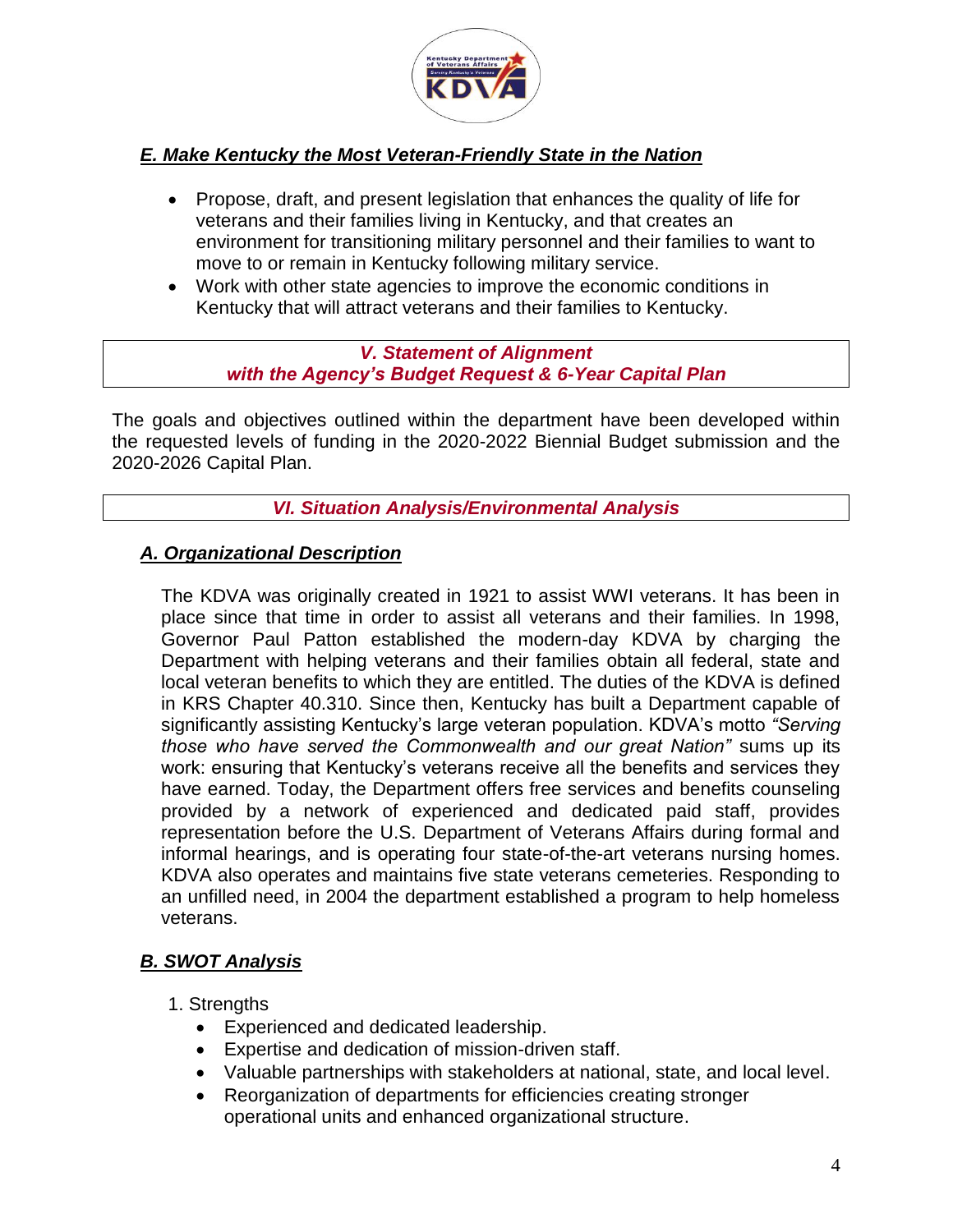

# *E. Make Kentucky the Most Veteran-Friendly State in the Nation*

- Propose, draft, and present legislation that enhances the quality of life for veterans and their families living in Kentucky, and that creates an environment for transitioning military personnel and their families to want to move to or remain in Kentucky following military service.
- Work with other state agencies to improve the economic conditions in Kentucky that will attract veterans and their families to Kentucky.

#### *V. Statement of Alignment with the Agency's Budget Request & 6-Year Capital Plan*

The goals and objectives outlined within the department have been developed within the requested levels of funding in the 2020-2022 Biennial Budget submission and the 2020-2026 Capital Plan.

*VI. Situation Analysis/Environmental Analysis*

# *A. Organizational Description*

The KDVA was originally created in 1921 to assist WWI veterans. It has been in place since that time in order to assist all veterans and their families. In 1998, Governor Paul Patton established the modern-day KDVA by charging the Department with helping veterans and their families obtain all federal, state and local veteran benefits to which they are entitled. The duties of the KDVA is defined in KRS Chapter 40.310. Since then, Kentucky has built a Department capable of significantly assisting Kentucky's large veteran population. KDVA's motto *"Serving those who have served the Commonwealth and our great Nation"* sums up its work: ensuring that Kentucky's veterans receive all the benefits and services they have earned. Today, the Department offers free services and benefits counseling provided by a network of experienced and dedicated paid staff, provides representation before the U.S. Department of Veterans Affairs during formal and informal hearings, and is operating four state-of-the-art veterans nursing homes. KDVA also operates and maintains five state veterans cemeteries. Responding to an unfilled need, in 2004 the department established a program to help homeless veterans.

# *B. SWOT Analysis*

#### 1. Strengths

- Experienced and dedicated leadership.
- Expertise and dedication of mission-driven staff.
- Valuable partnerships with stakeholders at national, state, and local level.
- Reorganization of departments for efficiencies creating stronger operational units and enhanced organizational structure.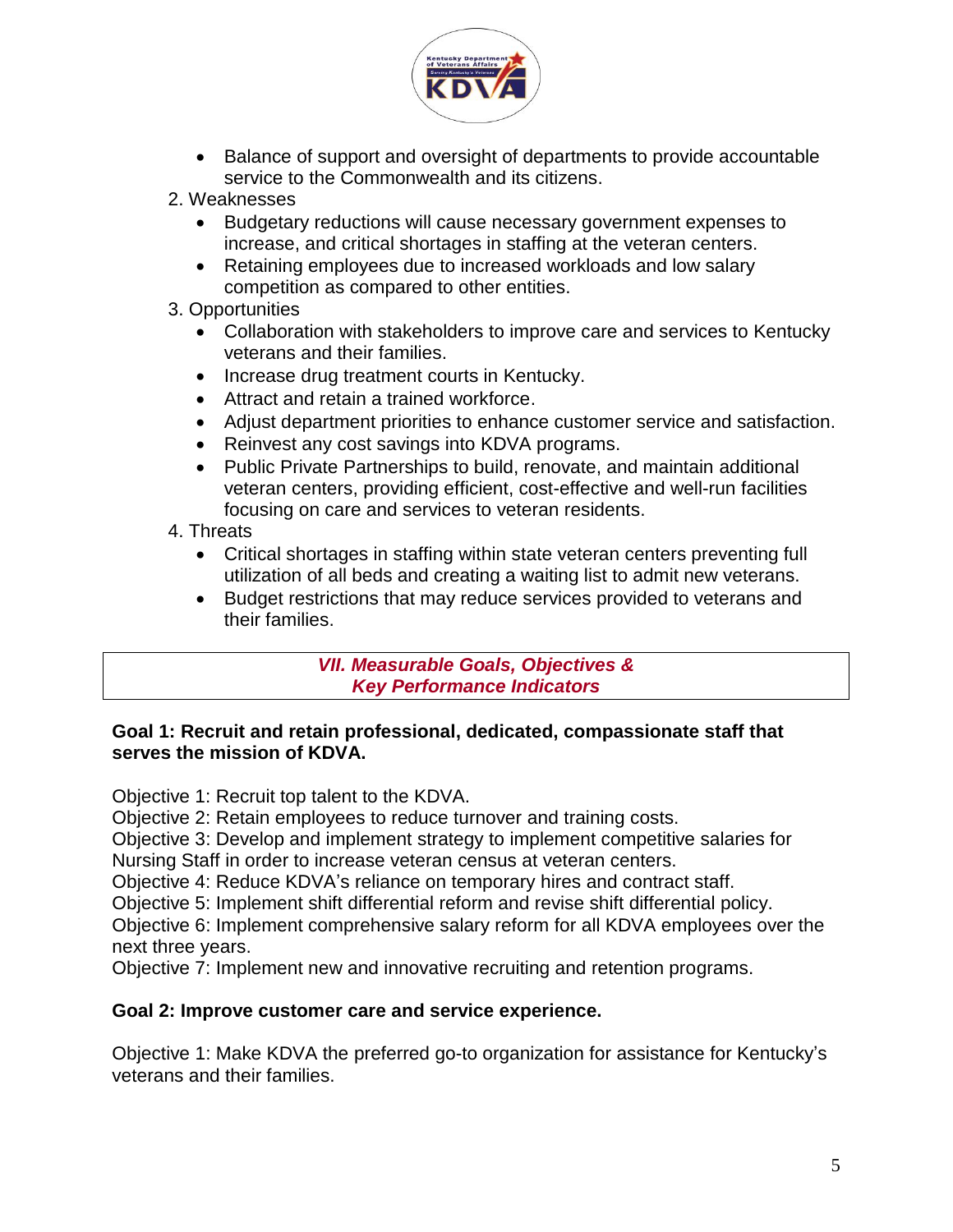

- Balance of support and oversight of departments to provide accountable service to the Commonwealth and its citizens.
- 2. Weaknesses
	- Budgetary reductions will cause necessary government expenses to increase, and critical shortages in staffing at the veteran centers.
	- Retaining employees due to increased workloads and low salary competition as compared to other entities.
- 3. Opportunities
	- Collaboration with stakeholders to improve care and services to Kentucky veterans and their families.
	- Increase drug treatment courts in Kentucky.
	- Attract and retain a trained workforce.
	- Adjust department priorities to enhance customer service and satisfaction.
	- Reinvest any cost savings into KDVA programs.
	- Public Private Partnerships to build, renovate, and maintain additional veteran centers, providing efficient, cost-effective and well-run facilities focusing on care and services to veteran residents.
- 4. Threats
	- Critical shortages in staffing within state veteran centers preventing full utilization of all beds and creating a waiting list to admit new veterans.
	- Budget restrictions that may reduce services provided to veterans and their families.

*VII. Measurable Goals, Objectives & Key Performance Indicators*

#### **Goal 1: Recruit and retain professional, dedicated, compassionate staff that serves the mission of KDVA.**

Objective 1: Recruit top talent to the KDVA.

Objective 2: Retain employees to reduce turnover and training costs.

Objective 3: Develop and implement strategy to implement competitive salaries for Nursing Staff in order to increase veteran census at veteran centers.

Objective 4: Reduce KDVA's reliance on temporary hires and contract staff.

Objective 5: Implement shift differential reform and revise shift differential policy.

Objective 6: Implement comprehensive salary reform for all KDVA employees over the next three years.

Objective 7: Implement new and innovative recruiting and retention programs.

#### **Goal 2: Improve customer care and service experience.**

Objective 1: Make KDVA the preferred go-to organization for assistance for Kentucky's veterans and their families.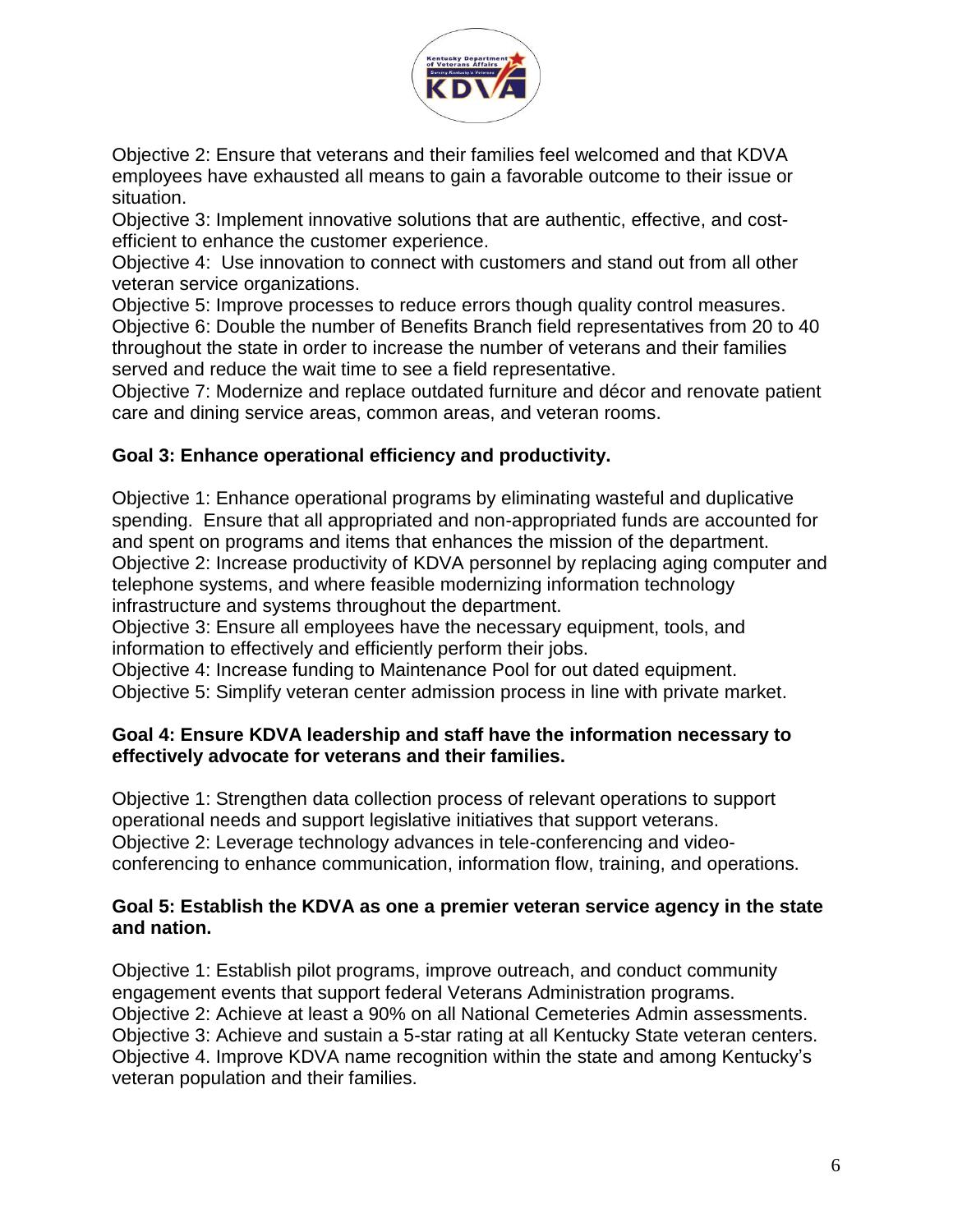

Objective 2: Ensure that veterans and their families feel welcomed and that KDVA employees have exhausted all means to gain a favorable outcome to their issue or situation.

Objective 3: Implement innovative solutions that are authentic, effective, and costefficient to enhance the customer experience.

Objective 4: Use innovation to connect with customers and stand out from all other veteran service organizations.

Objective 5: Improve processes to reduce errors though quality control measures. Objective 6: Double the number of Benefits Branch field representatives from 20 to 40 throughout the state in order to increase the number of veterans and their families served and reduce the wait time to see a field representative.

Objective 7: Modernize and replace outdated furniture and décor and renovate patient care and dining service areas, common areas, and veteran rooms.

# **Goal 3: Enhance operational efficiency and productivity.**

Objective 1: Enhance operational programs by eliminating wasteful and duplicative spending. Ensure that all appropriated and non-appropriated funds are accounted for and spent on programs and items that enhances the mission of the department. Objective 2: Increase productivity of KDVA personnel by replacing aging computer and telephone systems, and where feasible modernizing information technology infrastructure and systems throughout the department.

Objective 3: Ensure all employees have the necessary equipment, tools, and information to effectively and efficiently perform their jobs.

Objective 4: Increase funding to Maintenance Pool for out dated equipment. Objective 5: Simplify veteran center admission process in line with private market.

#### **Goal 4: Ensure KDVA leadership and staff have the information necessary to effectively advocate for veterans and their families.**

Objective 1: Strengthen data collection process of relevant operations to support operational needs and support legislative initiatives that support veterans. Objective 2: Leverage technology advances in tele-conferencing and videoconferencing to enhance communication, information flow, training, and operations.

#### **Goal 5: Establish the KDVA as one a premier veteran service agency in the state and nation.**

Objective 1: Establish pilot programs, improve outreach, and conduct community engagement events that support federal Veterans Administration programs. Objective 2: Achieve at least a 90% on all National Cemeteries Admin assessments. Objective 3: Achieve and sustain a 5-star rating at all Kentucky State veteran centers. Objective 4. Improve KDVA name recognition within the state and among Kentucky's veteran population and their families.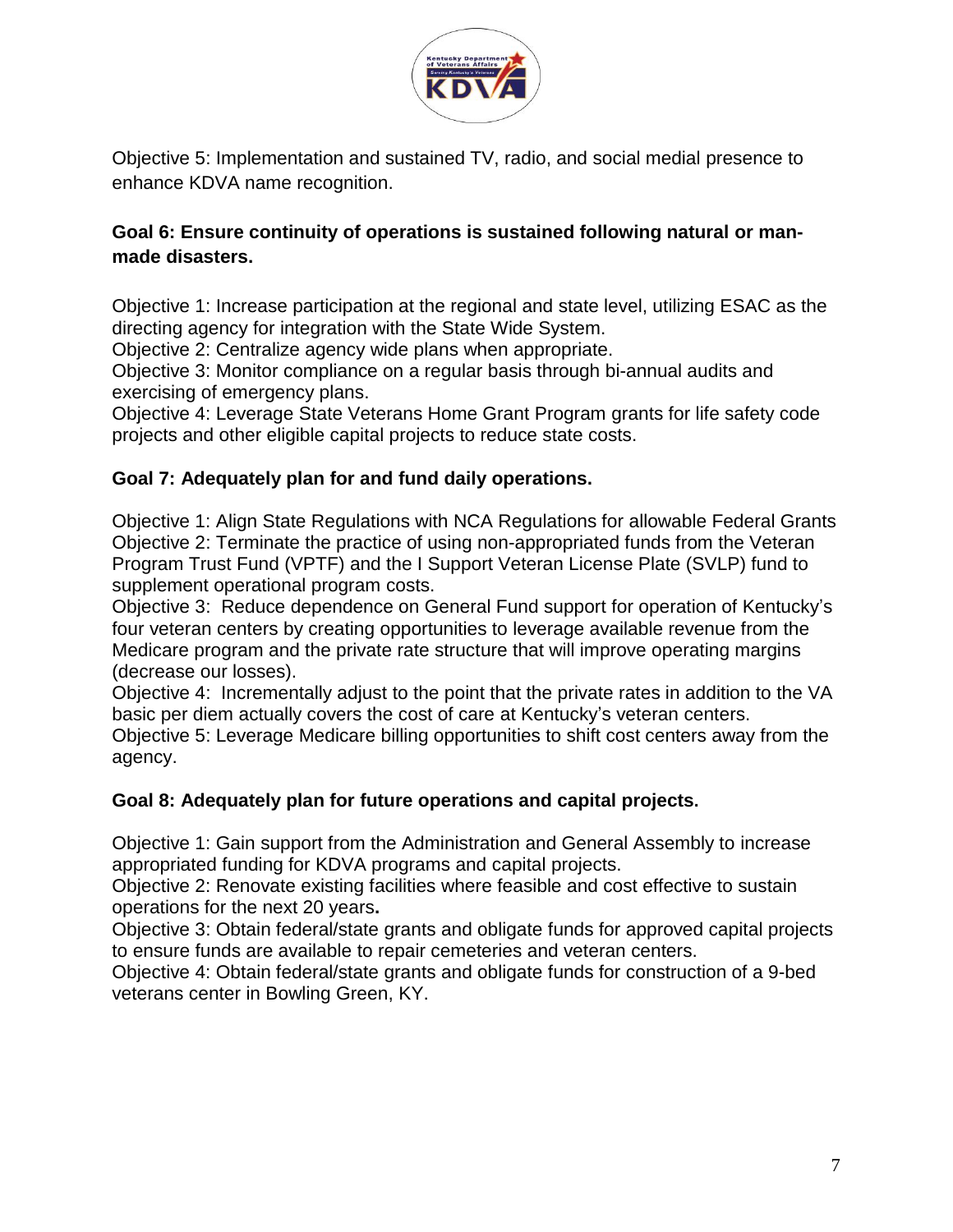

Objective 5: Implementation and sustained TV, radio, and social medial presence to enhance KDVA name recognition.

# **Goal 6: Ensure continuity of operations is sustained following natural or manmade disasters.**

Objective 1: Increase participation at the regional and state level, utilizing ESAC as the directing agency for integration with the State Wide System.

Objective 2: Centralize agency wide plans when appropriate.

Objective 3: Monitor compliance on a regular basis through bi-annual audits and exercising of emergency plans.

Objective 4: Leverage State Veterans Home Grant Program grants for life safety code projects and other eligible capital projects to reduce state costs.

# **Goal 7: Adequately plan for and fund daily operations.**

Objective 1: Align State Regulations with NCA Regulations for allowable Federal Grants Objective 2: Terminate the practice of using non-appropriated funds from the Veteran Program Trust Fund (VPTF) and the I Support Veteran License Plate (SVLP) fund to supplement operational program costs.

Objective 3: Reduce dependence on General Fund support for operation of Kentucky's four veteran centers by creating opportunities to leverage available revenue from the Medicare program and the private rate structure that will improve operating margins (decrease our losses).

Objective 4: Incrementally adjust to the point that the private rates in addition to the VA basic per diem actually covers the cost of care at Kentucky's veteran centers. Objective 5: Leverage Medicare billing opportunities to shift cost centers away from the

agency.

# **Goal 8: Adequately plan for future operations and capital projects.**

Objective 1: Gain support from the Administration and General Assembly to increase appropriated funding for KDVA programs and capital projects.

Objective 2: Renovate existing facilities where feasible and cost effective to sustain operations for the next 20 years**.**

Objective 3: Obtain federal/state grants and obligate funds for approved capital projects to ensure funds are available to repair cemeteries and veteran centers.

Objective 4: Obtain federal/state grants and obligate funds for construction of a 9-bed veterans center in Bowling Green, KY.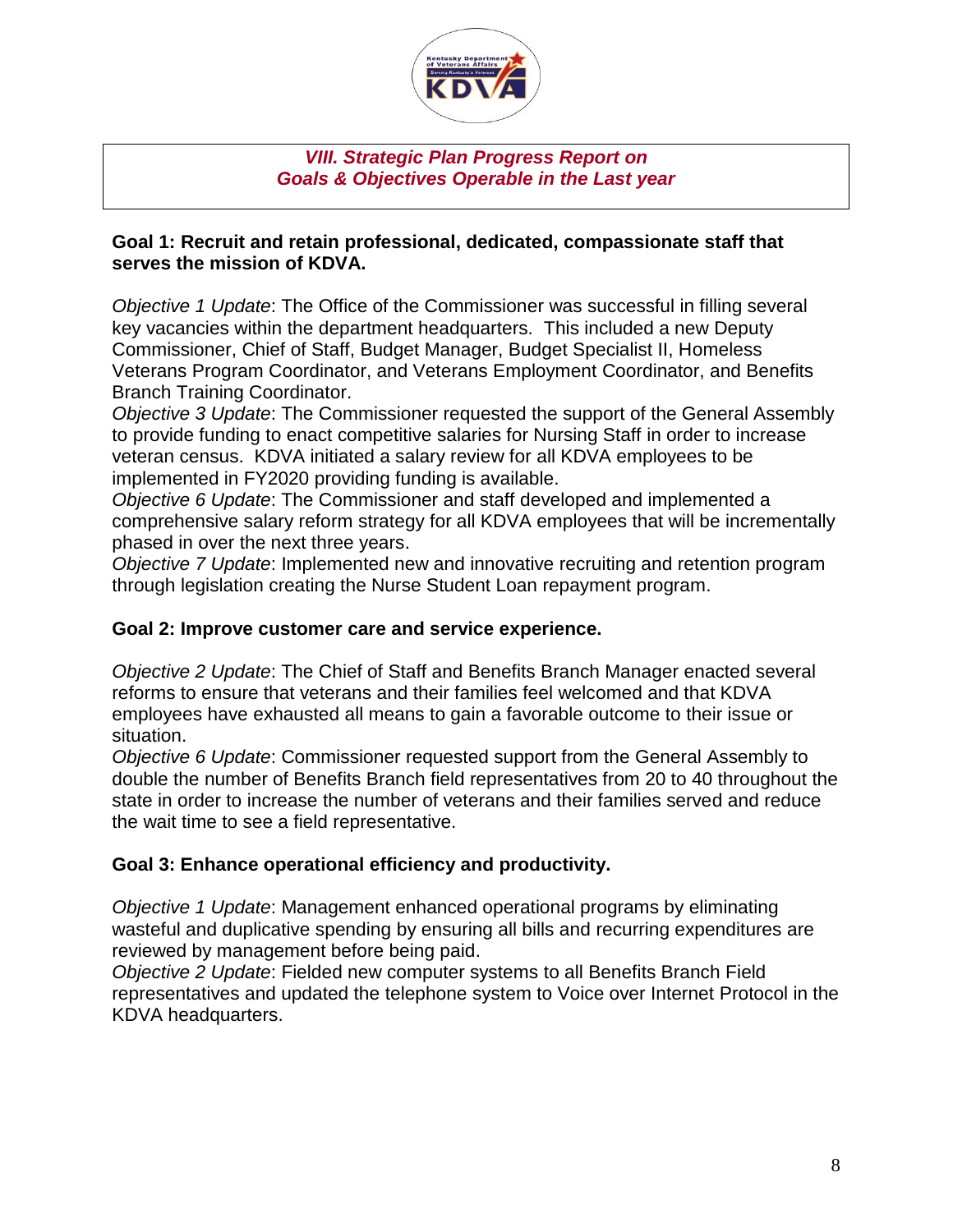

#### *VIII. Strategic Plan Progress Report on Goals & Objectives Operable in the Last year*

#### **Goal 1: Recruit and retain professional, dedicated, compassionate staff that serves the mission of KDVA.**

*Objective 1 Update*: The Office of the Commissioner was successful in filling several key vacancies within the department headquarters. This included a new Deputy Commissioner, Chief of Staff, Budget Manager, Budget Specialist II, Homeless Veterans Program Coordinator, and Veterans Employment Coordinator, and Benefits Branch Training Coordinator.

*Objective 3 Update*: The Commissioner requested the support of the General Assembly to provide funding to enact competitive salaries for Nursing Staff in order to increase veteran census. KDVA initiated a salary review for all KDVA employees to be implemented in FY2020 providing funding is available.

*Objective 6 Update*: The Commissioner and staff developed and implemented a comprehensive salary reform strategy for all KDVA employees that will be incrementally phased in over the next three years.

*Objective 7 Update*: Implemented new and innovative recruiting and retention program through legislation creating the Nurse Student Loan repayment program.

# **Goal 2: Improve customer care and service experience.**

*Objective 2 Update*: The Chief of Staff and Benefits Branch Manager enacted several reforms to ensure that veterans and their families feel welcomed and that KDVA employees have exhausted all means to gain a favorable outcome to their issue or situation.

*Objective 6 Update*: Commissioner requested support from the General Assembly to double the number of Benefits Branch field representatives from 20 to 40 throughout the state in order to increase the number of veterans and their families served and reduce the wait time to see a field representative.

# **Goal 3: Enhance operational efficiency and productivity.**

*Objective 1 Update*: Management enhanced operational programs by eliminating wasteful and duplicative spending by ensuring all bills and recurring expenditures are reviewed by management before being paid.

*Objective 2 Update*: Fielded new computer systems to all Benefits Branch Field representatives and updated the telephone system to Voice over Internet Protocol in the KDVA headquarters.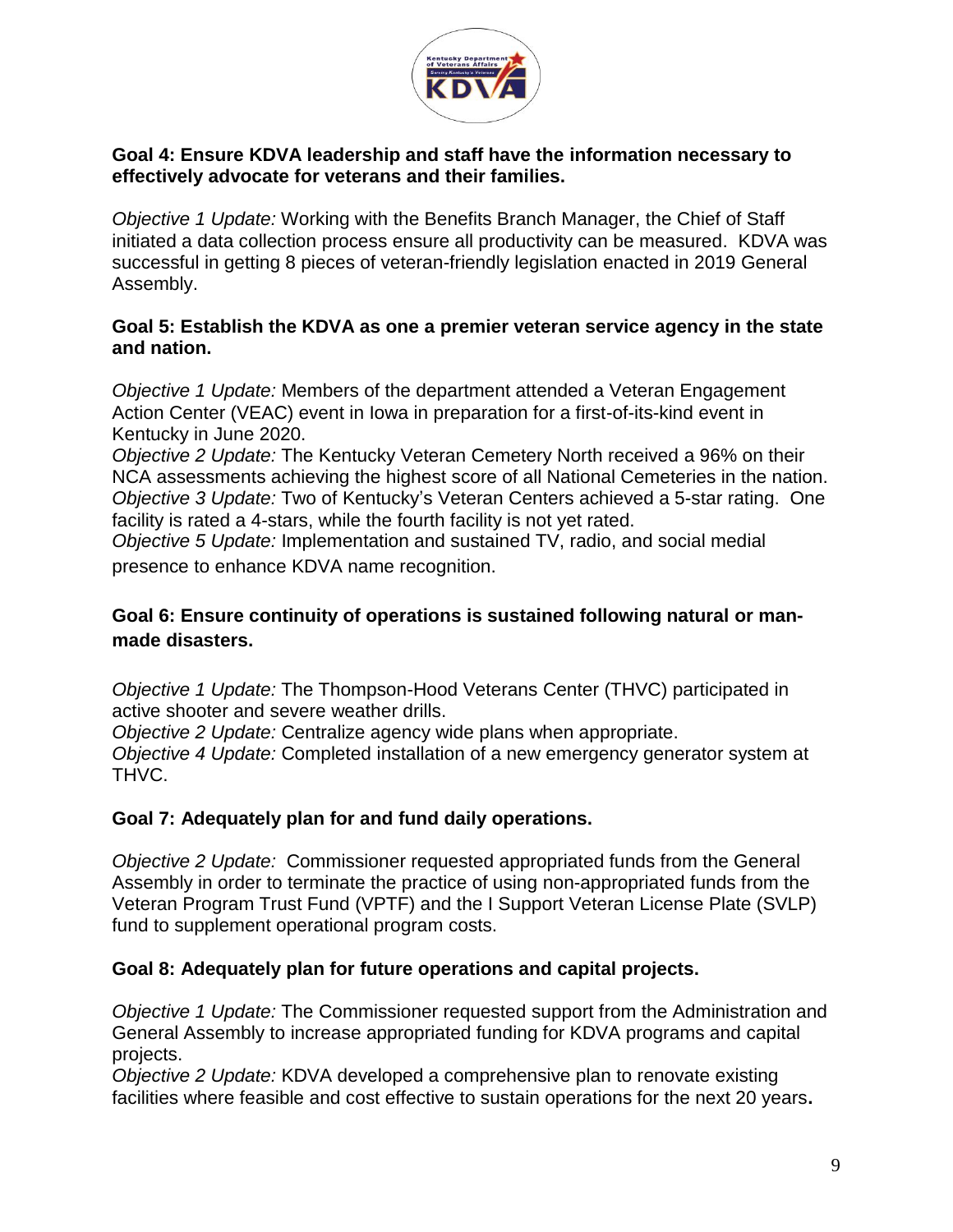

#### **Goal 4: Ensure KDVA leadership and staff have the information necessary to effectively advocate for veterans and their families.**

*Objective 1 Update:* Working with the Benefits Branch Manager, the Chief of Staff initiated a data collection process ensure all productivity can be measured. KDVA was successful in getting 8 pieces of veteran-friendly legislation enacted in 2019 General Assembly.

#### **Goal 5: Establish the KDVA as one a premier veteran service agency in the state and nation.**

*Objective 1 Update:* Members of the department attended a Veteran Engagement Action Center (VEAC) event in Iowa in preparation for a first-of-its-kind event in Kentucky in June 2020.

*Objective 2 Update:* The Kentucky Veteran Cemetery North received a 96% on their NCA assessments achieving the highest score of all National Cemeteries in the nation. *Objective 3 Update:* Two of Kentucky's Veteran Centers achieved a 5-star rating. One facility is rated a 4-stars, while the fourth facility is not yet rated.

*Objective 5 Update:* Implementation and sustained TV, radio, and social medial presence to enhance KDVA name recognition.

# **Goal 6: Ensure continuity of operations is sustained following natural or manmade disasters.**

*Objective 1 Update:* The Thompson-Hood Veterans Center (THVC) participated in active shooter and severe weather drills.

*Objective 2 Update:* Centralize agency wide plans when appropriate.

*Objective 4 Update:* Completed installation of a new emergency generator system at THVC.

# **Goal 7: Adequately plan for and fund daily operations.**

*Objective 2 Update:* Commissioner requested appropriated funds from the General Assembly in order to terminate the practice of using non-appropriated funds from the Veteran Program Trust Fund (VPTF) and the I Support Veteran License Plate (SVLP) fund to supplement operational program costs.

# **Goal 8: Adequately plan for future operations and capital projects.**

*Objective 1 Update:* The Commissioner requested support from the Administration and General Assembly to increase appropriated funding for KDVA programs and capital projects.

*Objective 2 Update:* KDVA developed a comprehensive plan to renovate existing facilities where feasible and cost effective to sustain operations for the next 20 years**.**